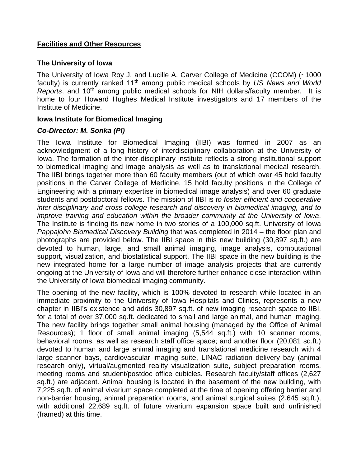## **Facilities and Other Resources**

#### **The University of Iowa**

The University of Iowa Roy J. and Lucille A. Carver College of Medicine (CCOM) (~1000 faculty) is currently ranked 11th among public medical schools by *US News and World Reports*, and 10<sup>th</sup> among public medical schools for NIH dollars/faculty member. It is home to four Howard Hughes Medical Institute investigators and 17 members of the Institute of Medicine.

## **Iowa Institute for Biomedical Imaging**

## *Co-Director: M. Sonka (PI)*

The Iowa Institute for Biomedical Imaging (IIBI) was formed in 2007 as an acknowledgment of a long history of interdisciplinary collaboration at the University of Iowa. The formation of the inter-disciplinary institute reflects a strong institutional support to biomedical imaging and image analysis as well as to translational medical research. The IIBI brings together more than 60 faculty members (out of which over 45 hold faculty positions in the Carver College of Medicine, 15 hold faculty positions in the College of Engineering with a primary expertise in biomedical image analysis) and over 60 graduate students and postdoctoral fellows. The mission of IIBI is *to foster efficient and cooperative inter-disciplinary and cross-college research and discovery in biomedical imaging, and to improve training and education within the broader community at the University of Iowa*. The Institute is finding its new home in two stories of a 100,000 sq.ft. University of Iowa *Pappajohn Biomedical Discovery Building* that was completed in 2014 – the floor plan and photographs are provided below. The IIBI space in this new building (30,897 sq.ft.) are devoted to human, large, and small animal imaging, image analysis, computational support, visualization, and biostatistical support. The IIBI space in the new building is the new integrated home for a large number of image analysis projects that are currently ongoing at the University of Iowa and will therefore further enhance close interaction within the University of Iowa biomedical imaging community.

The opening of the new facility, which is 100% devoted to research while located in an immediate proximity to the University of Iowa Hospitals and Clinics, represents a new chapter in IIBI's existence and adds 30,897 sq.ft. of new imaging research space to IIBI, for a total of over 37,000 sq.ft. dedicated to small and large animal, and human imaging. The new facility brings together small animal housing (managed by the Office of Animal Resources); 1 floor of small animal imaging (5,544 sq.ft.) with 10 scanner rooms, behavioral rooms, as well as research staff office space; and another floor (20,081 sq.ft.) devoted to human and large animal imaging and translational medicine research with 4 large scanner bays, cardiovascular imaging suite, LINAC radiation delivery bay (animal research only), virtual/augmented reality visualization suite, subject preparation rooms, meeting rooms and student/postdoc office cubicles. Research faculty/staff offices (2,627 sq.ft.) are adjacent. Animal housing is located in the basement of the new building, with 7,225 sq.ft. of animal vivarium space completed at the time of opening offering barrier and non-barrier housing, animal preparation rooms, and animal surgical suites (2,645 sq.ft.), with additional 22,689 sq.ft. of future vivarium expansion space built and unfinished (framed) at this time.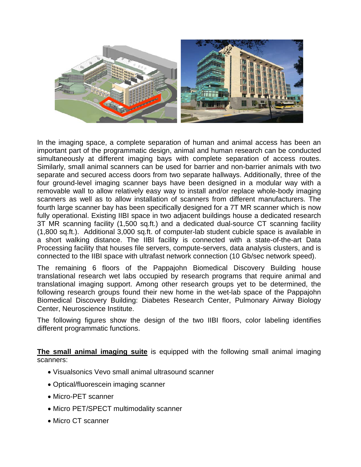

In the imaging space, a complete separation of human and animal access has been an important part of the programmatic design, animal and human research can be conducted simultaneously at different imaging bays with complete separation of access routes. Similarly, small animal scanners can be used for barrier and non-barrier animals with two separate and secured access doors from two separate hallways. Additionally, three of the four ground-level imaging scanner bays have been designed in a modular way with a removable wall to allow relatively easy way to install and/or replace whole-body imaging scanners as well as to allow installation of scanners from different manufacturers. The fourth large scanner bay has been specifically designed for a 7T MR scanner which is now fully operational. Existing IIBI space in two adjacent buildings house a dedicated research 3T MR scanning facility (1,500 sq.ft.) and a dedicated dual-source CT scanning facility (1,800 sq.ft.). Additional 3,000 sq.ft. of computer-lab student cubicle space is available in a short walking distance. The IIBI facility is connected with a state-of-the-art Data Processing facility that houses file servers, compute-servers, data analysis clusters, and is connected to the IIBI space with ultrafast network connection (10 Gb/sec network speed).

The remaining 6 floors of the Pappajohn Biomedical Discovery Building house translational research wet labs occupied by research programs that require animal and translational imaging support. Among other research groups yet to be determined, the following research groups found their new home in the wet-lab space of the Pappajohn Biomedical Discovery Building: Diabetes Research Center, Pulmonary Airway Biology Center, Neuroscience Institute.

The following figures show the design of the two IIBI floors, color labeling identifies different programmatic functions.

**The small animal imaging suite** is equipped with the following small animal imaging scanners:

- Visualsonics Vevo small animal ultrasound scanner
- Optical/fluorescein imaging scanner
- Micro-PET scanner
- Micro PET/SPECT multimodality scanner
- Micro CT scanner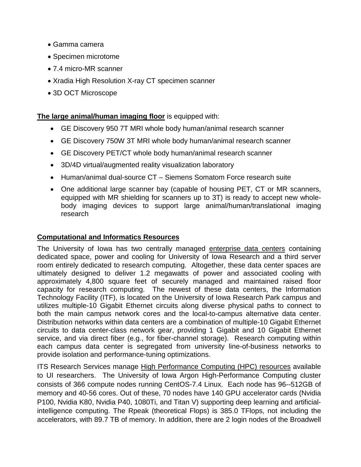- Gamma camera
- Specimen microtome
- 7.4 micro-MR scanner
- Xradia High Resolution X-ray CT specimen scanner
- 3D OCT Microscope

# **The large animal/human imaging floor** is equipped with:

- GE Discovery 950 7T MRI whole body human/animal research scanner
- GE Discovery 750W 3T MRI whole body human/animal research scanner
- GE Discovery PET/CT whole body human/animal research scanner
- 3D/4D virtual/augmented reality visualization laboratory
- Human/animal dual-source CT Siemens Somatom Force research suite
- One additional large scanner bay (capable of housing PET, CT or MR scanners, equipped with MR shielding for scanners up to 3T) is ready to accept new wholebody imaging devices to support large animal/human/translational imaging research

## **Computational and Informatics Resources**

The University of Iowa has two centrally managed enterprise data centers containing dedicated space, power and cooling for University of Iowa Research and a third server room entirely dedicated to research computing. Altogether, these data center spaces are ultimately designed to deliver 1.2 megawatts of power and associated cooling with approximately 4,800 square feet of securely managed and maintained raised floor capacity for research computing. The newest of these data centers, the Information Technology Facility (ITF), is located on the University of Iowa Research Park campus and utilizes multiple-10 Gigabit Ethernet circuits along diverse physical paths to connect to both the main campus network cores and the local-to-campus alternative data center. Distribution networks within data centers are a combination of multiple-10 Gigabit Ethernet circuits to data center-class network gear, providing 1 Gigabit and 10 Gigabit Ethernet service, and via direct fiber (e.g., for fiber-channel storage). Research computing within each campus data center is segregated from university line-of-business networks to provide isolation and performance-tuning optimizations.

ITS Research Services manage High Performance Computing (HPC) resources available to UI researchers. The University of Iowa Argon High-Performance Computing cluster consists of 366 compute nodes running CentOS-7.4 Linux. Each node has 96--512GB of memory and 40-56 cores. Out of these, 70 nodes have 140 GPU accelerator cards (Nvidia P100, Nvidia K80, Nvidia P40, 1080Ti, and Titan V) supporting deep learning and artificialintelligence computing. The Rpeak (theoretical Flops) is 385.0 TFlops, not including the accelerators, with 89.7 TB of memory. In addition, there are 2 login nodes of the Broadwell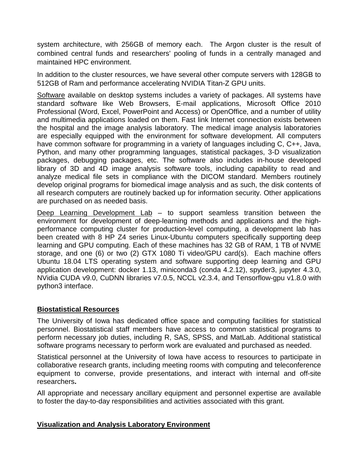system architecture, with 256GB of memory each. The Argon cluster is the result of combined central funds and researchers' pooling of funds in a centrally managed and maintained HPC environment.

In addition to the cluster resources, we have several other compute servers with 128GB to 512GB of Ram and performance accelerating NVIDIA Titan-Z GPU units.

Software available on desktop systems includes a variety of packages. All systems have standard software like Web Browsers, E-mail applications, Microsoft Office 2010 Professional (Word, Excel, PowerPoint and Access) or OpenOffice, and a number of utility and multimedia applications loaded on them. Fast link Internet connection exists between the hospital and the image analysis laboratory. The medical image analysis laboratories are especially equipped with the environment for software development. All computers have common software for programming in a variety of languages including C, C++, Java, Python, and many other programming languages, statistical packages, 3-D visualization packages, debugging packages, etc. The software also includes in-house developed library of 3D and 4D image analysis software tools, including capability to read and analyze medical file sets in compliance with the DICOM standard. Members routinely develop original programs for biomedical image analysis and as such, the disk contents of all research computers are routinely backed up for information security. Other applications are purchased on as needed basis.

Deep Learning Development Lab – to support seamless transition between the environment for development of deep-learning methods and applications and the highperformance computing cluster for production-level computing, a development lab has been created with 8 HP Z4 series Linux-Ubuntu computers specifically supporting deep learning and GPU computing. Each of these machines has 32 GB of RAM, 1 TB of NVME storage, and one (6) or two (2) GTX 1080 Ti video/GPU card(s). Each machine offers Ubuntu 18.04 LTS operating system and software supporting deep learning and GPU application development: docker 1.13, miniconda3 (conda 4.2.12), spyder3, jupyter 4.3.0, NVidia CUDA v9.0, CuDNN libraries v7.0.5, NCCL v2.3.4, and Tensorflow-gpu v1.8.0 with python3 interface.

## **Biostatistical Resources**

The University of Iowa has dedicated office space and computing facilities for statistical personnel. Biostatistical staff members have access to common statistical programs to perform necessary job duties, including R, SAS, SPSS, and MatLab. Additional statistical software programs necessary to perform work are evaluated and purchased as needed.

Statistical personnel at the University of Iowa have access to resources to participate in collaborative research grants, including meeting rooms with computing and teleconference equipment to converse, provide presentations, and interact with internal and off-site researchers**.**

All appropriate and necessary ancillary equipment and personnel expertise are available to foster the day-to-day responsibilities and activities associated with this grant.

## **Visualization and Analysis Laboratory Environment**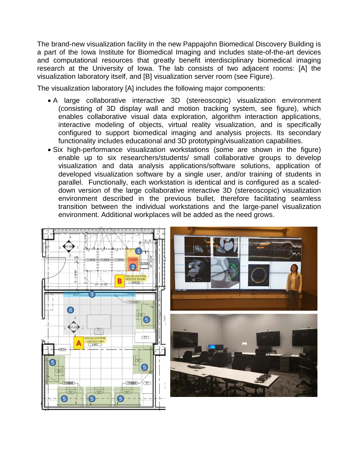The brand-new visualization facility in the new Pappajohn Biomedical Discovery Building is a part of the Iowa Institute for Biomedical Imaging and includes state-of-the-art devices and computational resources that greatly benefit interdisciplinary biomedical imaging research at the University of Iowa. The lab consists of two adjacent rooms: [A] the visualization laboratory itself, and [B] visualization server room (see Figure).

The visualization laboratory [A] includes the following major components:

- A large collaborative interactive 3D (stereoscopic) visualization environment (consisting of 3D display wall and motion tracking system, see figure), which enables collaborative visual data exploration, algorithm interaction applications, interactive modeling of objects, virtual reality visualization, and is specifically configured to support biomedical imaging and analysis projects. Its secondary functionality includes educational and 3D prototyping/visualization capabilities.
- Six high-performance visualization workstations (some are shown in the figure) enable up to six researchers/students/ small collaborative groups to develop visualization and data analysis applications/software solutions, application of developed visualization software by a single user, and/or training of students in parallel. Functionally, each workstation is identical and is configured as a scaleddown version of the large collaborative interactive 3D (stereoscopic) visualization environment described in the previous bullet, therefore facilitating seamless transition between the individual workstations and the large-panel visualization environment. Additional workplaces will be added as the need grows.